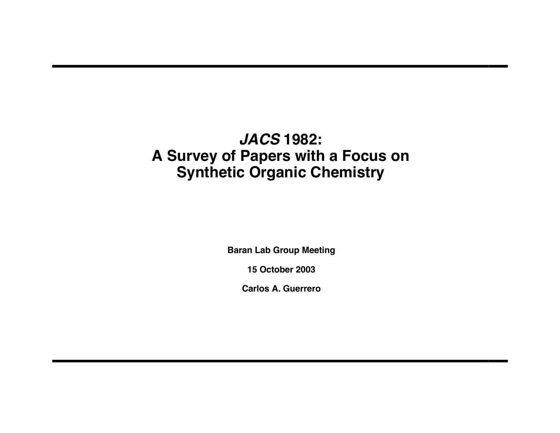# **JACS 1982: A Survey of Papers with a Focus on Synthetic Organic Chemistry**

**Baran Lab Group Meeting**

**15 October 2003**

**Carlos A. Guerrero**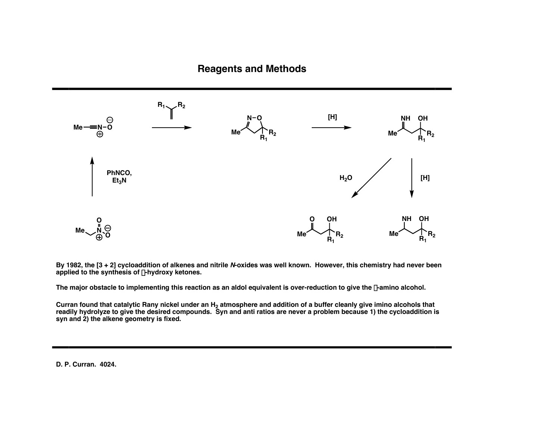

By 1982, the [3 + 2] cycloaddition of alkenes and nitrile N-oxides was well known. However, this chemistry had never been **applied to the synthesis of** b**-hydroxy ketones.**

The major obstacle to implementing this reaction as an aldol equivalent is over-reduction to give the  $\beta$ -amino alcohol.

Curran found that catalytic Rany nickel under an H<sub>2</sub> atmosphere and addition of a buffer cleanly give imino alcohols that readily hydrolyze to give the desired compounds. Syn and anti ratios are never a problem because 1) the cycloaddition is **syn and 2) the alkene geometry is fixed.**

**D. P. Curran. 4024.**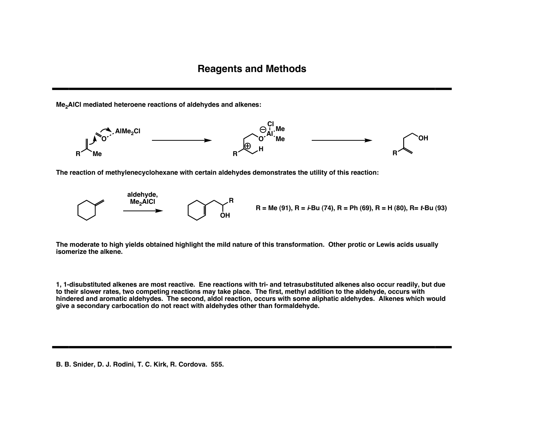**Me2AlCl mediated heteroene reactions of aldehydes and alkenes:**



**The reaction of methylenecyclohexane with certain aldehydes demonstrates the utility of this reaction:**



The moderate to high yields obtained highlight the mild nature of this transformation. Other protic or Lewis acids usually **isomerize the alkene.**

1, 1-disubstituted alkenes are most reactive. Ene reactions with tri- and tetrasubstituted alkenes also occur readily, but due to their slower rates, two competing reactions may take place. The first, methyl addition to the aldehyde, occurs with hindered and aromatic aldehydes. The second, aldol reaction, occurs with some aliphatic aldehydes. Alkenes which would **give a secondary carbocation do not react with aldehydes other than formaldehyde.**

**B. B. Snider, D. J. Rodini, T. C. Kirk, R. Cordova. 555.**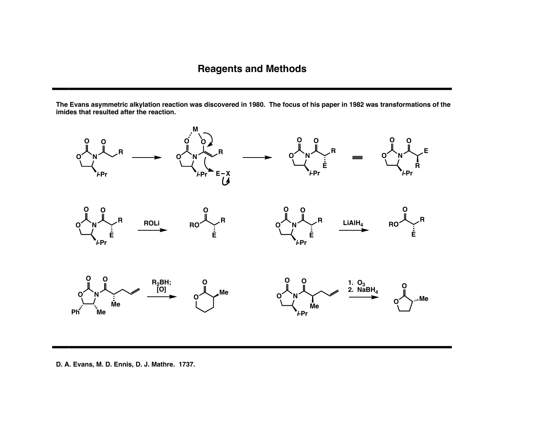The Evans asymmetric alkylation reaction was discovered in 1980. The focus of his paper in 1982 was transformations of the **imides that resulted after the reaction.**



**D. A. Evans, M. D. Ennis, D. J. Mathre. 1737.**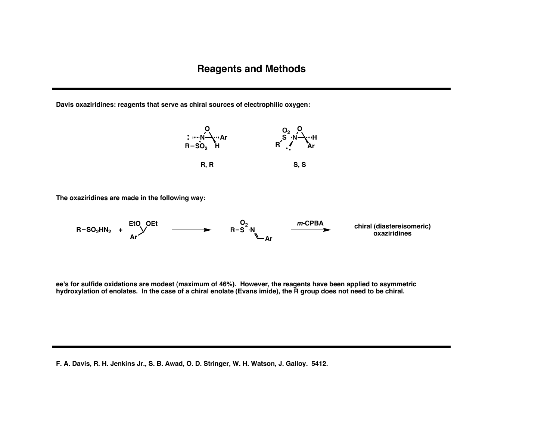**Davis oxaziridines: reagents that serve as chiral sources of electrophilic oxygen:**



**The oxaziridines are made in the following way:**



ee's for sulfide oxidations are modest (maximum of 46%). However, the reagents have been applied to asymmetric hydroxylation of enolates. In the case of a chiral enolate (Evans imide), the R group does not need to be chiral.

**F. A. Davis, R. H. Jenkins Jr., S. B. Awad, O. D. Stringer, W. H. Watson, J. Galloy. 5412.**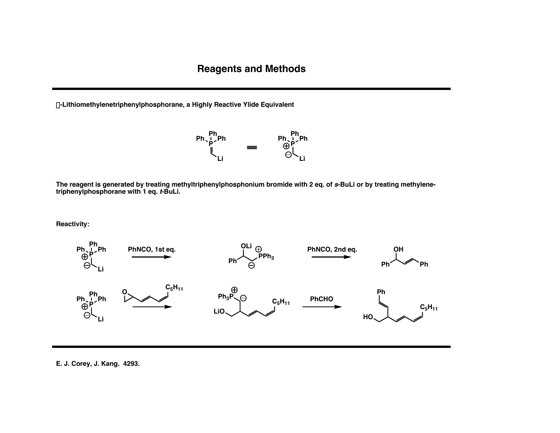a**-Lithiomethylenetriphenylphosphorane, a Highly Reactive Ylide Equivalent**



The reagent is generated by treating methyltriphenylphosphonium bromide with 2 eq. of s-BuLi or by treating methylene**triphenylphosphorane with 1 eq. <sup>t</sup>-BuLi.**

**Reactivity:**



**E. J. Corey, J. Kang. 4293.**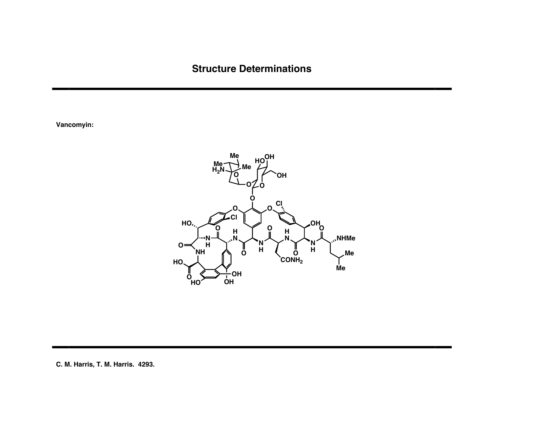## **Structure Determinations**

**Vancomyin:**



**C. M. Harris, T. M. Harris. 4293.**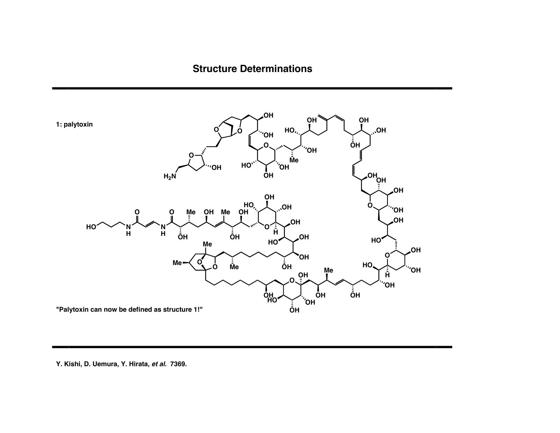## **Structure Determinations**



#### **Y. Kishi, D. Uemura, Y. Hirata, et al. 7369.**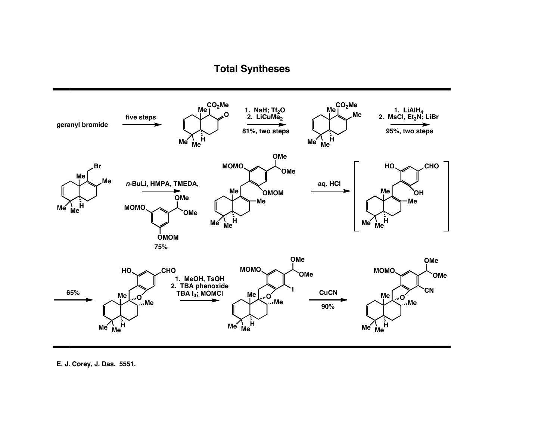

E. J. Corey, J, Das. 5551.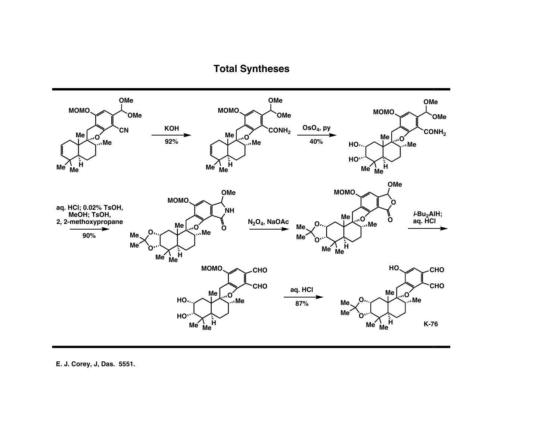

E. J. Corey, J, Das. 5551.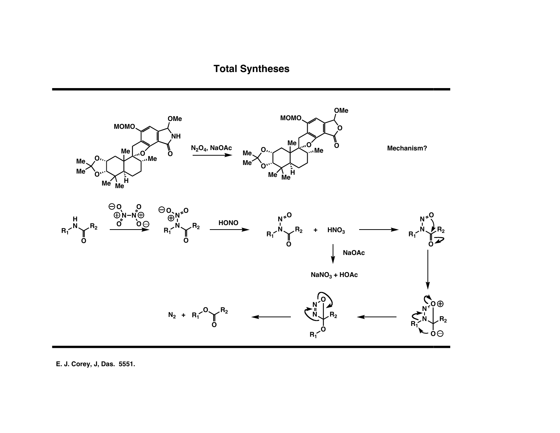

**E. J. Corey, J, Das. 5551.**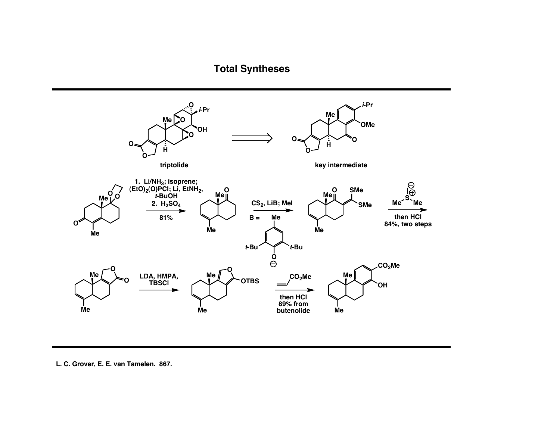

**L. C. Grover, E. E. van Tamelen. 867.**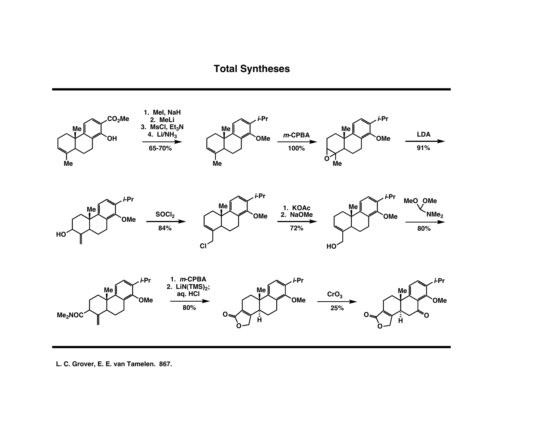

L. C. Grover, E. E. van Tamelen. 867.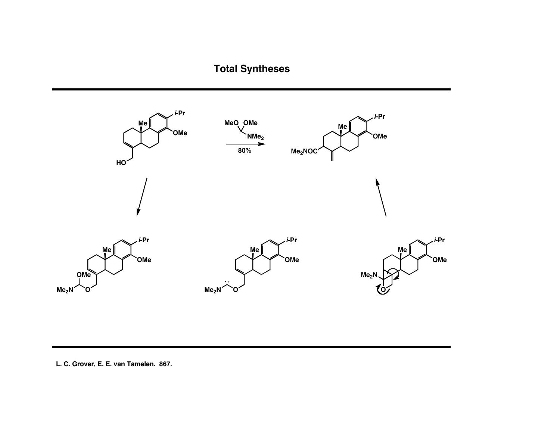

#### L. C. Grover, E. E. van Tamelen. 867.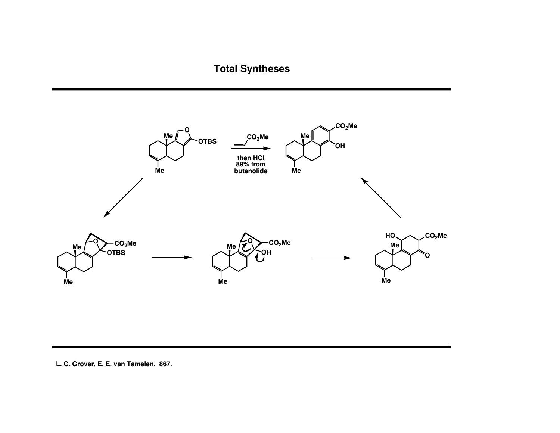

**L. C. Grover, E. E. van Tamelen. 867.**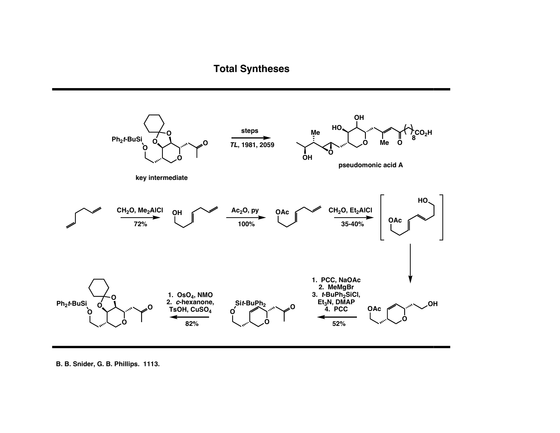

**B. B. Snider, G. B. Phillips. 1113.**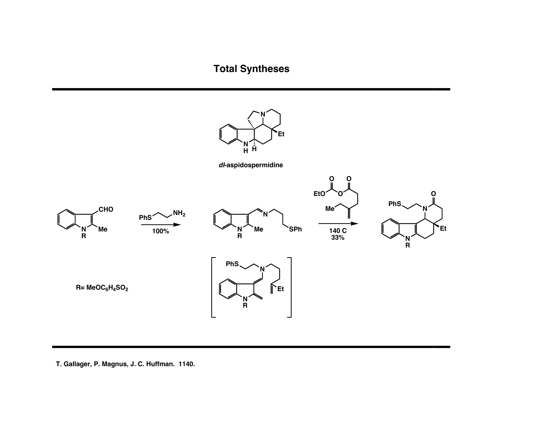

**T. Gallager, P. Magnus, J. C. Huffman. 1140.**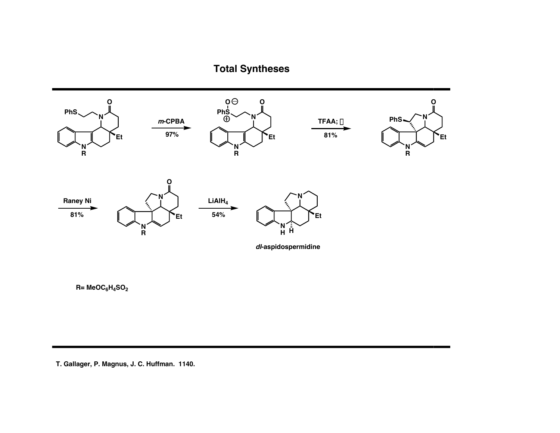

#### **T. Gallager, P. Magnus, J. C. Huffman. 1140.**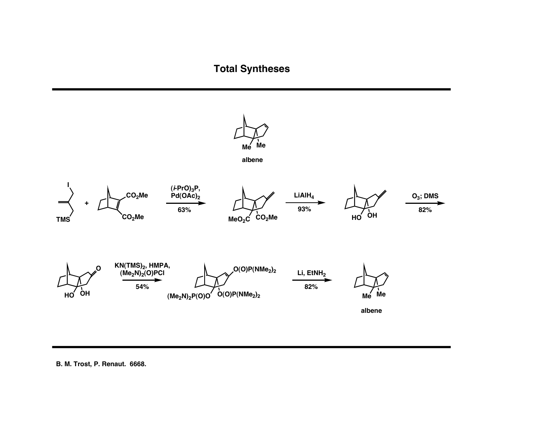

**B. M. Trost, P. Renaut. 6668.**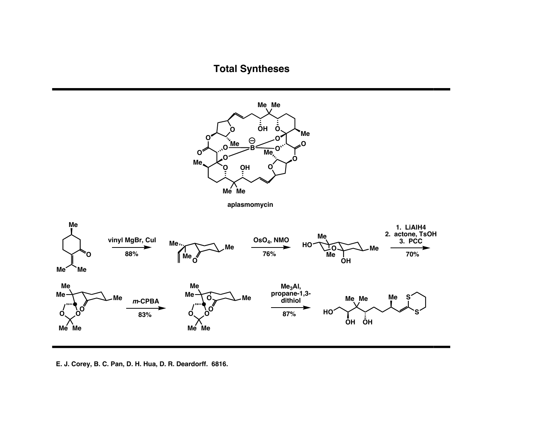

**E. J. Corey, B. C. Pan, D. H. Hua, D. R. Deardorff. 6816.**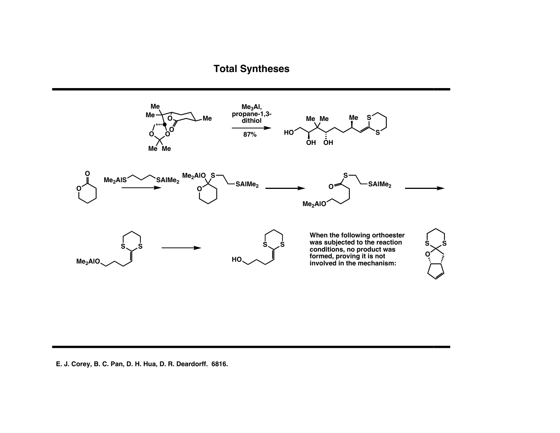

#### **E. J. Corey, B. C. Pan, D. H. Hua, D. R. Deardorff. 6816.**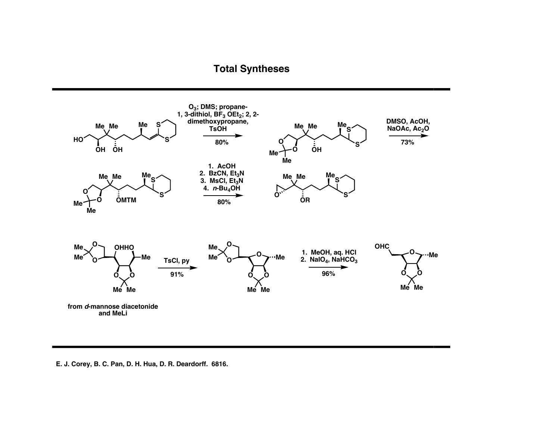

#### **E. J. Corey, B. C. Pan, D. H. Hua, D. R. Deardorff. 6816.**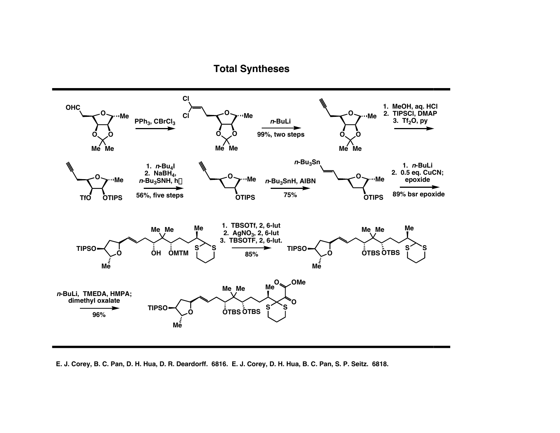

E. J. Corey, B. C. Pan, D. H. Hua, D. R. Deardorff. 6816. E. J. Corey, D. H. Hua, B. C. Pan, S. P. Seitz. 6818.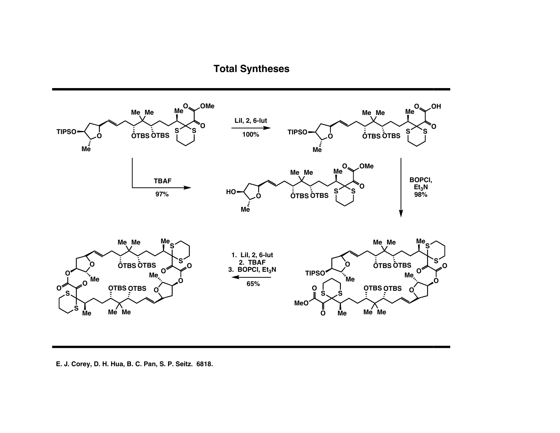

**E. J. Corey, D. H. Hua, B. C. Pan, S. P. Seitz. 6818.**